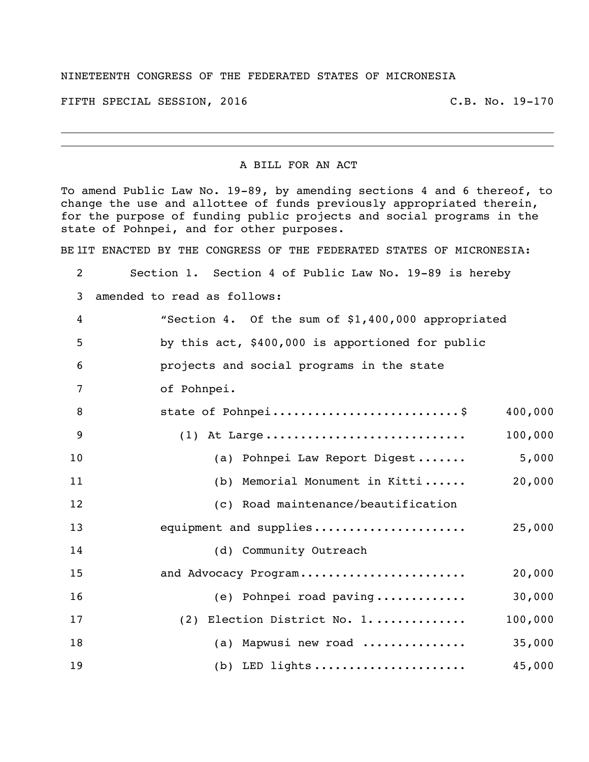## NINETEENTH CONGRESS OF THE FEDERATED STATES OF MICRONESIA

FIFTH SPECIAL SESSION, 2016 C.B. No. 19-170

## A BILL FOR AN ACT

To amend Public Law No. 19-89, by amending sections 4 and 6 thereof, to change the use and allottee of funds previously appropriated therein, for the purpose of funding public projects and social programs in the state of Pohnpei, and for other purposes.

BE IIT ENACTED BY THE CONGRESS OF THE FEDERATED STATES OF MICRONESIA:

| 2              | Section 1. Section 4 of Public Law No. 19-89 is hereby |
|----------------|--------------------------------------------------------|
| 3              | amended to read as follows:                            |
| $\overline{4}$ | "Section 4. Of the sum of \$1,400,000 appropriated     |
| 5              | by this act, \$400,000 is apportioned for public       |
| 6              | projects and social programs in the state              |
| 7              | of Pohnpei.                                            |
| 8              | state of Pohnpei\$<br>400,000                          |
| 9              | 100,000<br>$(1)$ At Large                              |
| 10             | 5,000<br>(a) Pohnpei Law Report Digest                 |
| 11             | 20,000<br>(b) Memorial Monument in Kitti               |
| 12             | (c) Road maintenance/beautification                    |
| 13             | equipment and supplies<br>25,000                       |
| 14             | (d) Community Outreach                                 |
| 15             | 20,000<br>and Advocacy Program                         |
| 16             | 30,000<br>(e) Pohnpei road paving                      |
| 17             | 100,000<br>(2) Election District No. 1                 |
| 18             | (a) Mapwusi new road<br>35,000                         |
| 19             | 45,000<br>$(b)$ LED lights                             |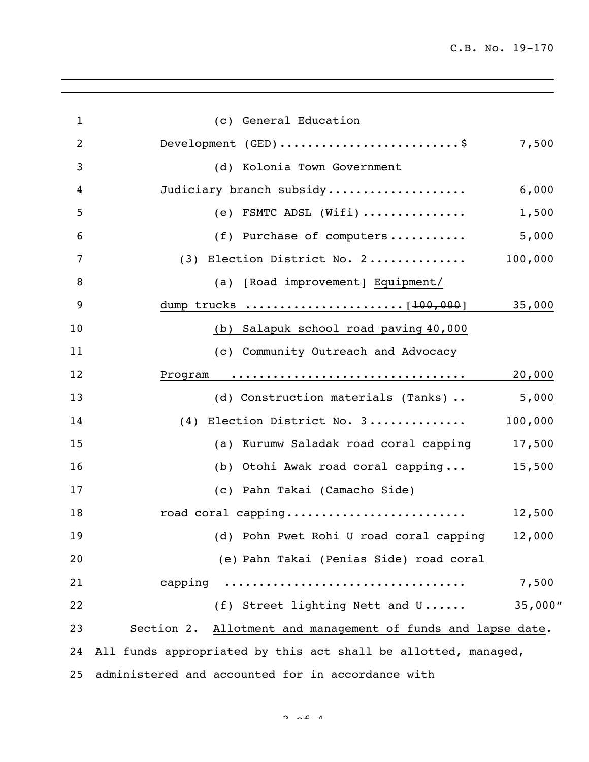| $\mathbf{1}$   | (c) General Education                                           |          |  |
|----------------|-----------------------------------------------------------------|----------|--|
| $\overline{2}$ | Development (GED) \$                                            | 7,500    |  |
| 3              | (d) Kolonia Town Government                                     |          |  |
| 4              | Judiciary branch subsidy                                        | 6,000    |  |
| 5              | (e) FSMTC ADSL (Wifi)                                           | 1,500    |  |
| 6              | (f) Purchase of computers                                       | 5,000    |  |
| 7              | (3) Election District No. 2                                     | 100,000  |  |
| 8              | (a) [Road improvement] Equipment/                               |          |  |
| 9              |                                                                 | 35,000   |  |
| 10             | (b) Salapuk school road paving 40,000                           |          |  |
| 11             | Community Outreach and Advocacy<br>(C)                          |          |  |
| 12             | Program                                                         | 20,000   |  |
| 13             | (d) Construction materials (Tanks)                              | 5,000    |  |
| 14             | (4) Election District No. 3                                     | 100,000  |  |
| 15             | (a) Kurumw Saladak road coral capping                           | 17,500   |  |
| 16             | (b) Otohi Awak road coral capping                               | 15,500   |  |
| 17             | (c) Pahn Takai (Camacho Side)                                   |          |  |
| 18             | road coral capping                                              | 12,500   |  |
| 19             | (d) Pohn Pwet Rohi U road coral capping                         | 12,000   |  |
| 20             | (e) Pahn Takai (Penias Side) road coral                         |          |  |
| 21             | capping                                                         | 7,500    |  |
| 22             | (f) Street lighting Nett and U                                  | 35,000'' |  |
| 23             | Section 2.<br>Allotment and management of funds and lapse date. |          |  |
| 24             | All funds appropriated by this act shall be allotted, managed,  |          |  |
| 25             | administered and accounted for in accordance with               |          |  |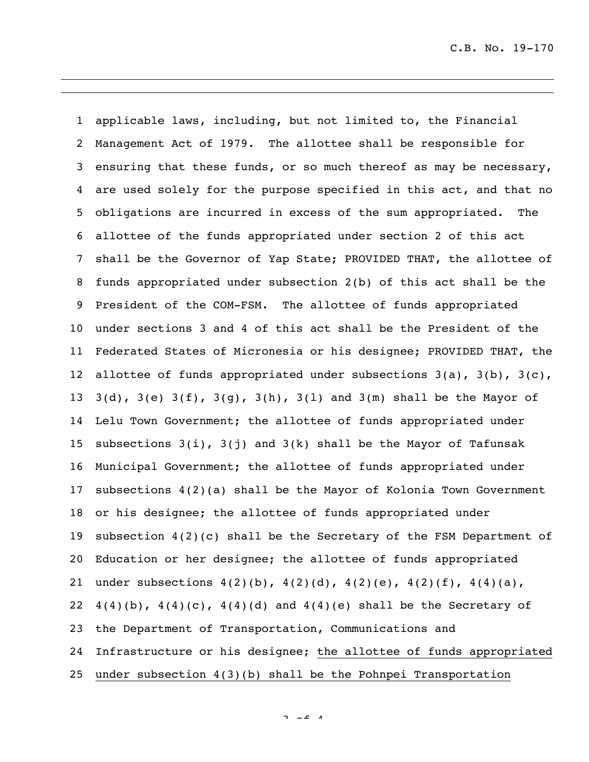applicable laws, including, but not limited to, the Financial Management Act of 1979. The allottee shall be responsible for ensuring that these funds, or so much thereof as may be necessary, are used solely for the purpose specified in this act, and that no obligations are incurred in excess of the sum appropriated. The allottee of the funds appropriated under section 2 of this act shall be the Governor of Yap State; PROVIDED THAT, the allottee of funds appropriated under subsection 2(b) of this act shall be the President of the COM-FSM. The allottee of funds appropriated under sections 3 and 4 of this act shall be the President of the Federated States of Micronesia or his designee; PROVIDED THAT, the 12 allottee of funds appropriated under subsections  $3(a)$ ,  $3(b)$ ,  $3(c)$ ,  $3(d)$ ,  $3(e)$   $3(f)$ ,  $3(g)$ ,  $3(h)$ ,  $3(l)$  and  $3(m)$  shall be the Mayor of Lelu Town Government; the allottee of funds appropriated under 15 subsections  $3(i)$ ,  $3(j)$  and  $3(k)$  shall be the Mayor of Tafunsak Municipal Government; the allottee of funds appropriated under subsections 4(2)(a) shall be the Mayor of Kolonia Town Government or his designee; the allottee of funds appropriated under subsection 4(2)(c) shall be the Secretary of the FSM Department of Education or her designee; the allottee of funds appropriated under subsections 4(2)(b), 4(2)(d), 4(2)(e), 4(2)(f), 4(4)(a),  $4(4)(b)$ ,  $4(4)(c)$ ,  $4(4)(d)$  and  $4(4)(e)$  shall be the Secretary of the Department of Transportation, Communications and Infrastructure or his designee; the allottee of funds appropriated under subsection 4(3)(b) shall be the Pohnpei Transportation